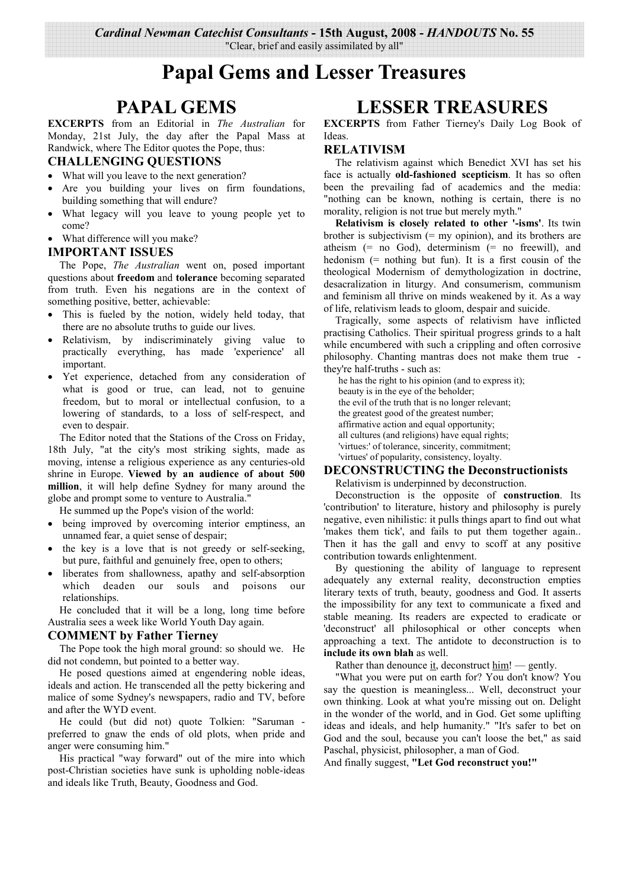# **Papal Gems and Lesser Treasures**

## **PAPAL GEMS**

**EXCERPTS** from an Editorial in The Australian for Monday, 21st July, the day after the Papal Mass at Randwick, where The Editor quotes the Pope, thus:

#### **CHALLENGING QUESTIONS**

- What will you leave to the next generation?
- Are you building your lives on firm foundations, building something that will endure?
- What legacy will you leave to young people yet to come?
- What difference will you make?

#### **IMPORTANT ISSUES**

The Pope, The Australian went on, posed important questions about freedom and tolerance becoming separated from truth. Even his negations are in the context of something positive, better, achievable:

- This is fueled by the notion, widely held today, that there are no absolute truths to guide our lives.
- Relativism, by indiscriminately giving value to practically everything, has made 'experience' all important.
- Yet experience, detached from any consideration of what is good or true, can lead, not to genuine freedom, but to moral or intellectual confusion, to a lowering of standards, to a loss of self-respect, and even to despair.

The Editor noted that the Stations of the Cross on Friday, 18th July, "at the city's most striking sights, made as moving, intense a religious experience as any centuries-old shrine in Europe. Viewed by an audience of about 500 million, it will help define Sydney for many around the globe and prompt some to venture to Australia."

He summed up the Pope's vision of the world:

- being improved by overcoming interior emptiness, an unnamed fear, a quiet sense of despair;
- the key is a love that is not greedy or self-seeking, but pure, faithful and genuinely free, open to others;
- liberates from shallowness, apathy and self-absorption  $\bullet$ which deaden our souls and poisons  $_{\text{OIII}}$ relationships.

He concluded that it will be a long, long time before Australia sees a week like World Youth Day again.

#### **COMMENT** by Father Tierney

The Pope took the high moral ground: so should we. He did not condemn, but pointed to a better way.

He posed questions aimed at engendering noble ideas, ideals and action. He transcended all the petty bickering and malice of some Sydney's newspapers, radio and TV, before and after the WYD event.

He could (but did not) quote Tolkien: "Saruman preferred to gnaw the ends of old plots, when pride and anger were consuming him."

His practical "way forward" out of the mire into which post-Christian societies have sunk is upholding noble-ideas and ideals like Truth, Beauty, Goodness and God.

## **LESSER TREASURES**

EXCERPTS from Father Tierney's Daily Log Book of **Ideas** 

#### **RELATIVISM**

The relativism against which Benedict XVI has set his face is actually old-fashioned scepticism. It has so often been the prevailing fad of academics and the media: "nothing can be known, nothing is certain, there is no morality, religion is not true but merely myth."

Relativism is closely related to other '-isms'. Its twin brother is subjectivism  $(=$  my opinion), and its brothers are atheism  $(= no God)$ , determinism  $(= no free will)$ , and hedonism  $(=$  nothing but fun). It is a first cousin of the theological Modernism of demythologization in doctrine, desacralization in liturgy. And consumerism, communism and feminism all thrive on minds weakened by it. As a way of life, relativism leads to gloom, despair and suicide.

Tragically, some aspects of relativism have inflicted practising Catholics. Their spiritual progress grinds to a halt while encumbered with such a crippling and often corrosive philosophy. Chanting mantras does not make them true they're half-truths - such as:

he has the right to his opinion (and to express it); beauty is in the eve of the beholder: the evil of the truth that is no longer relevant; the greatest good of the greatest number; affirmative action and equal opportunity; all cultures (and religions) have equal rights; 'virtues:' of tolerance, sincerity, commitment; 'virtues' of popularity, consistency, loyalty.

#### **DECONSTRUCTING the Deconstructionists**

Relativism is underpinned by deconstruction.

Deconstruction is the opposite of construction. Its 'contribution' to literature, history and philosophy is purely negative, even nihilistic: it pulls things apart to find out what 'makes them tick', and fails to put them together again... Then it has the gall and envy to scoff at any positive contribution towards enlightenment.

By questioning the ability of language to represent adequately any external reality, deconstruction empties literary texts of truth, beauty, goodness and God. It asserts the impossibility for any text to communicate a fixed and stable meaning. Its readers are expected to eradicate or 'deconstruct' all philosophical or other concepts when approaching a text. The antidote to deconstruction is to include its own blah as well.

Rather than denounce it, deconstruct  $\lim_{m}$ ! — gently.

"What you were put on earth for? You don't know? You say the question is meaningless... Well, deconstruct your own thinking. Look at what you're missing out on. Delight in the wonder of the world, and in God. Get some uplifting ideas and ideals, and help humanity." "It's safer to bet on God and the soul, because you can't loose the bet," as said Paschal, physicist, philosopher, a man of God.

And finally suggest, "Let God reconstruct you!"